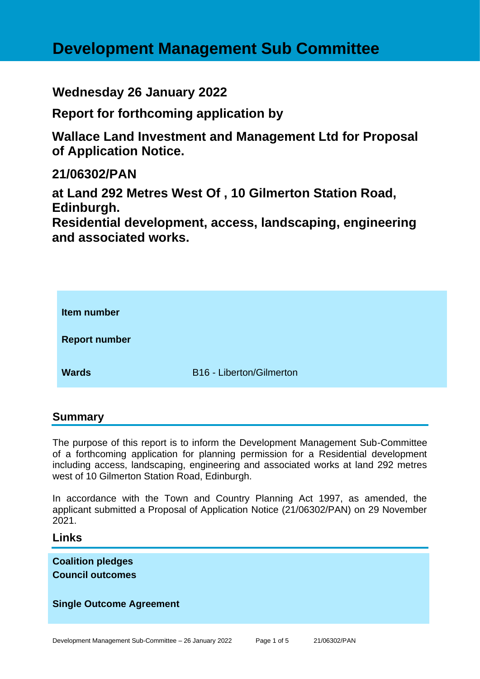# **Development Management Sub Committee**

**Wednesday 26 January 2022**

**Report for forthcoming application by**

**Wallace Land Investment and Management Ltd for Proposal of Application Notice.**

# **21/06302/PAN**

**at Land 292 Metres West Of , 10 Gilmerton Station Road, Edinburgh.**

**Residential development, access, landscaping, engineering and associated works.**



### **Summary**

The purpose of this report is to inform the Development Management Sub-Committee of a forthcoming application for planning permission for a Residential development including access, landscaping, engineering and associated works at land 292 metres west of 10 Gilmerton Station Road, Edinburgh.

In accordance with the Town and Country Planning Act 1997, as amended, the applicant submitted a Proposal of Application Notice (21/06302/PAN) on 29 November 2021.

### **Links**

**Coalition pledges Council outcomes**

### **Single Outcome Agreement**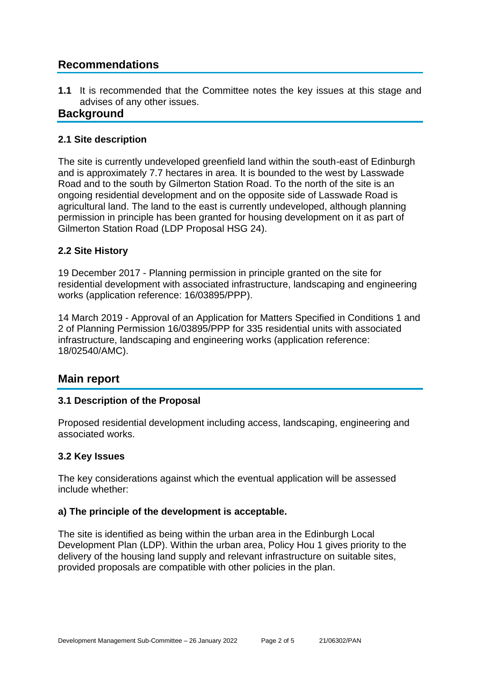# **Recommendations**

**1.1** It is recommended that the Committee notes the key issues at this stage and advises of any other issues.

# **Background**

#### **2.1 Site description**

The site is currently undeveloped greenfield land within the south-east of Edinburgh and is approximately 7.7 hectares in area. It is bounded to the west by Lasswade Road and to the south by Gilmerton Station Road. To the north of the site is an ongoing residential development and on the opposite side of Lasswade Road is agricultural land. The land to the east is currently undeveloped, although planning permission in principle has been granted for housing development on it as part of Gilmerton Station Road (LDP Proposal HSG 24).

#### **2.2 Site History**

19 December 2017 - Planning permission in principle granted on the site for residential development with associated infrastructure, landscaping and engineering works (application reference: 16/03895/PPP).

14 March 2019 - Approval of an Application for Matters Specified in Conditions 1 and 2 of Planning Permission 16/03895/PPP for 335 residential units with associated infrastructure, landscaping and engineering works (application reference: 18/02540/AMC).

# **Main report**

#### **3.1 Description of the Proposal**

Proposed residential development including access, landscaping, engineering and associated works.

#### **3.2 Key Issues**

The key considerations against which the eventual application will be assessed include whether:

#### **a) The principle of the development is acceptable.**

The site is identified as being within the urban area in the Edinburgh Local Development Plan (LDP). Within the urban area, Policy Hou 1 gives priority to the delivery of the housing land supply and relevant infrastructure on suitable sites, provided proposals are compatible with other policies in the plan.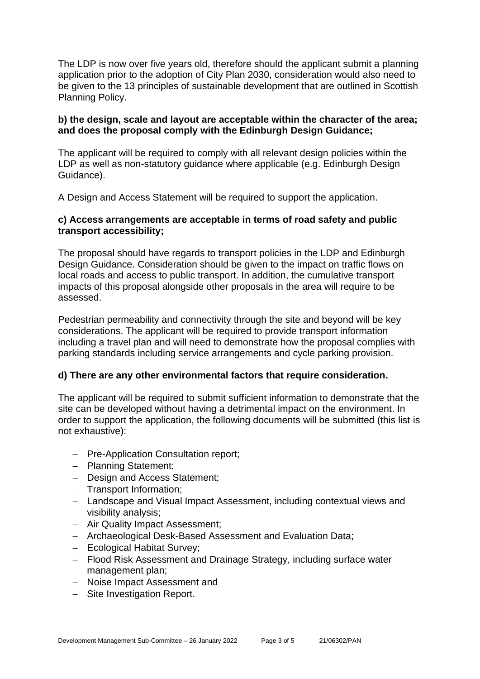The LDP is now over five years old, therefore should the applicant submit a planning application prior to the adoption of City Plan 2030, consideration would also need to be given to the 13 principles of sustainable development that are outlined in Scottish Planning Policy.

#### **b) the design, scale and layout are acceptable within the character of the area; and does the proposal comply with the Edinburgh Design Guidance;**

The applicant will be required to comply with all relevant design policies within the LDP as well as non-statutory guidance where applicable (e.g. Edinburgh Design Guidance).

A Design and Access Statement will be required to support the application.

#### **c) Access arrangements are acceptable in terms of road safety and public transport accessibility;**

The proposal should have regards to transport policies in the LDP and Edinburgh Design Guidance. Consideration should be given to the impact on traffic flows on local roads and access to public transport. In addition, the cumulative transport impacts of this proposal alongside other proposals in the area will require to be assessed.

Pedestrian permeability and connectivity through the site and beyond will be key considerations. The applicant will be required to provide transport information including a travel plan and will need to demonstrate how the proposal complies with parking standards including service arrangements and cycle parking provision.

#### **d) There are any other environmental factors that require consideration.**

The applicant will be required to submit sufficient information to demonstrate that the site can be developed without having a detrimental impact on the environment. In order to support the application, the following documents will be submitted (this list is not exhaustive):

- − Pre-Application Consultation report;
- − Planning Statement;
- − Design and Access Statement;
- − Transport Information;
- − Landscape and Visual Impact Assessment, including contextual views and visibility analysis;
- − Air Quality Impact Assessment;
- − Archaeological Desk-Based Assessment and Evaluation Data;
- − Ecological Habitat Survey;
- − Flood Risk Assessment and Drainage Strategy, including surface water management plan;
- − Noise Impact Assessment and
- − Site Investigation Report.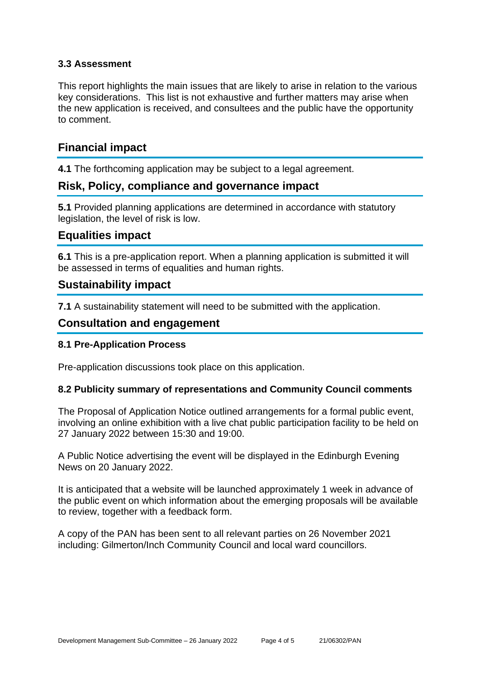#### **3.3 Assessment**

This report highlights the main issues that are likely to arise in relation to the various key considerations. This list is not exhaustive and further matters may arise when the new application is received, and consultees and the public have the opportunity to comment.

# **Financial impact**

**4.1** The forthcoming application may be subject to a legal agreement.

# **Risk, Policy, compliance and governance impact**

**5.1** Provided planning applications are determined in accordance with statutory legislation, the level of risk is low.

# **Equalities impact**

**6.1** This is a pre-application report. When a planning application is submitted it will be assessed in terms of equalities and human rights.

# **Sustainability impact**

**7.1** A sustainability statement will need to be submitted with the application.

# **Consultation and engagement**

#### **8.1 Pre-Application Process**

Pre-application discussions took place on this application.

#### **8.2 Publicity summary of representations and Community Council comments**

The Proposal of Application Notice outlined arrangements for a formal public event, involving an online exhibition with a live chat public participation facility to be held on 27 January 2022 between 15:30 and 19:00.

A Public Notice advertising the event will be displayed in the Edinburgh Evening News on 20 January 2022.

It is anticipated that a website will be launched approximately 1 week in advance of the public event on which information about the emerging proposals will be available to review, together with a feedback form.

A copy of the PAN has been sent to all relevant parties on 26 November 2021 including: Gilmerton/Inch Community Council and local ward councillors.